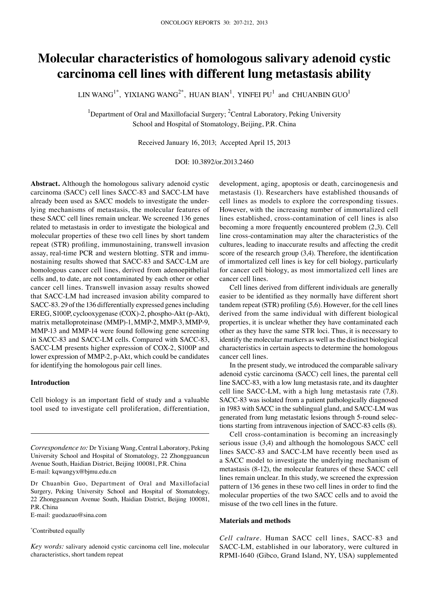# **Molecular characteristics of homologous salivary adenoid cystic carcinoma cell lines with different lung metastasis ability**

LIN WANG $^{1^\ast}$ , YIXIANG WANG $^{2^\ast}$ , HUAN BIAN $^1$ , YINFEI PU $^1$  and CHUANBIN GUO $^1$ 

<sup>1</sup>Department of Oral and Maxillofacial Surgery; <sup>2</sup>Central Laboratory, Peking University School and Hospital of Stomatology, Beijing, P.R. China

Received January 16, 2013; Accepted April 15, 2013

DOI: 10.3892/or.2013.2460

**Abstract.** Although the homologous salivary adenoid cystic carcinoma (SACC) cell lines SACC-83 and SACC-LM have already been used as SACC models to investigate the underlying mechanisms of metastasis, the molecular features of these SACC cell lines remain unclear. We screened 136 genes related to metastasis in order to investigate the biological and molecular properties of these two cell lines by short tandem repeat (STR) profiling, immunostaining, transwell invasion assay, real-time PCR and western blotting. STR and immunostaining results showed that SACC-83 and SACC-LM are homologous cancer cell lines, derived from adenoepithelial cells and, to date, are not contaminated by each other or other cancer cell lines. Transwell invasion assay results showed that SACC-LM had increased invasion ability compared to SACC-83. 29 of the 136 differentially expressed genes including EREG, S100P, cyclooxygenase (COX)-2, phospho-Akt (p-Akt), matrix metalloproteinase (MMP)-1, MMP-2, MMP-3, MMP-9, MMP-13 and MMP-14 were found following gene screening in SACC-83 and SACC-LM cells. Compared with SACC-83, SACC-LM presents higher expression of COX-2, S100P and lower expression of MMP-2, p-Akt, which could be candidates for identifying the homologous pair cell lines.

## **Introduction**

Cell biology is an important field of study and a valuable tool used to investigate cell proliferation, differentiation,

E-mail: guodazuo@sina.com

\* Contributed equally

*Key words:* salivary adenoid cystic carcinoma cell line, molecular characteristics, short tandem repeat

development, aging, apoptosis or death, carcinogenesis and metastasis (1). Researchers have established thousands of cell lines as models to explore the corresponding tissues. However, with the increasing number of immortalized cell lines established, cross-contamination of cell lines is also becoming a more frequently encountered problem (2,3). Cell line cross-contamination may alter the characteristics of the cultures, leading to inaccurate results and affecting the credit score of the research group (3,4). Therefore, the identification of immortalized cell lines is key for cell biology, particularly for cancer cell biology, as most immortalized cell lines are cancer cell lines.

Cell lines derived from different individuals are generally easier to be identified as they normally have different short tandem repeat (STR) profiling (5,6). However, for the cell lines derived from the same individual with different biological properties, it is unclear whether they have contaminated each other as they have the same STR loci. Thus, it is necessary to identify the molecular markers as well as the distinct biological characteristics in certain aspects to determine the homologous cancer cell lines.

In the present study, we introduced the comparable salivary adenoid cystic carcinoma (SACC) cell lines, the parental cell line SACC-83, with a low lung metastasis rate, and its daughter cell line SACC-LM, with a high lung metastasis rate (7,8). SACC-83 was isolated from a patient pathologically diagnosed in 1983 with SACC in the sublingual gland, and SACC-LM was generated from lung metastatic lesions through 5-round selections starting from intravenous injection of SACC-83 cells (8).

Cell cross-contamination is becoming an increasingly serious issue (3,4) and although the homologous SACC cell lines SACC-83 and SACC-LM have recently been used as a SACC model to investigate the underlying mechanism of metastasis (8-12), the molecular features of these SACC cell lines remain unclear. In this study, we screened the expression pattern of 136 genes in these two cell lines in order to find the molecular properties of the two SACC cells and to avoid the misuse of the two cell lines in the future.

# **Materials and methods**

*Cell culture.* Human SACC cell lines, SACC-83 and SACC-LM, established in our laboratory, were cultured in RPMI-1640 (Gibco, Grand Island, NY, USA) supplemented

*Correspondence to:* Dr Yixiang Wang, Central Laboratory, Peking University School and Hospital of Stomatology, 22 Zhongguancun Avenue South, Haidian District, Beijing 100081, P.R. China E-mail: kqwangyx@bjmu.edu.cn

Dr Chuanbin Guo, Department of Oral and Maxillofacial Surgery, Peking University School and Hospital of Stomatology, 22 Zhongguancun Avenue South, Haidian District, Beijing 100081, P.R. China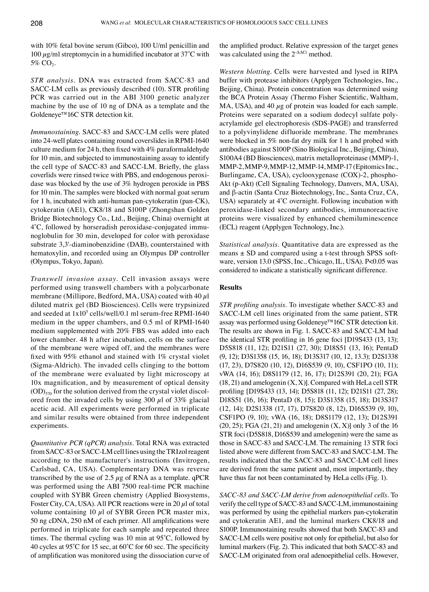with 10% fetal bovine serum (Gibco), 100 U/ml penicillin and 100  $\mu$ g/ml streptomycin in a humidified incubator at 37°C with  $5\%$  CO<sub>2</sub>.

*STR analysis.* DNA was extracted from SACC-83 and SACC-LM cells as previously described (10). STR profiling PCR was carried out in the ABI 3100 genetic analyzer machine by the use of 10 ng of DNA as a template and the Goldeneye™16C STR detection kit.

*Immunostaining.* SACC-83 and SACC-LM cells were plated into 24-well plates containing round coverslides in RPMI-1640 culture medium for 24 h, then fixed with 4% paraformaldehyde for 10 min, and subjected to immunostaining assay to identify the cell type of SACC-83 and SACC-LM. Briefly, the glass coverlids were rinsed twice with PBS, and endogenous peroxidase was blocked by the use of 3% hydrogen peroxide in PBS for 10 min. The samples were blocked with normal goat serum for 1 h, incubated with anti-human pan-cytokeratin (pan-CK), cytokeratin (AE1), CK8/18 and S100P (Zhongshan Golden Bridge Biotechnology Co., Ltd., Beijing, China) overnight at 4˚C, followed by horseradish peroxidase-conjugated immunoglobulin for 30 min, developed for color with peroxidase substrate 3,3'-diaminobenzidine (DAB), counterstained with hematoxylin, and recorded using an Olympus DP controller (Olympus, Tokyo, Japan).

*Transwell invasion assay.* Cell invasion assays were performed using transwell chambers with a polycarbonate membrane (Millipore, Bedford, MA, USA) coated with  $40 \mu l$ diluted matrix gel (BD Biosciences). Cells were trypsinized and seeded at  $1x10^5$  cells/well/0.1 ml serum-free RPMI-1640 medium in the upper chambers, and 0.5 ml of RPMI-1640 medium supplemented with 20% FBS was added into each lower chamber. 48 h after incubation, cells on the surface of the membrane were wiped off, and the membranes were fixed with 95% ethanol and stained with 1% crystal violet (Sigma-Aldrich). The invaded cells clinging to the bottom of the membrane were evaluated by light microscopy at 10x magnification, and by measurement of optical density  $(OD)_{570}$  for the solution derived from the crystal violet discolored from the invaded cells by using 300  $\mu$ l of 33% glacial acetic acid. All experiments were performed in triplicate and similar results were obtained from three independent experiments.

*Quantitative PCR (qPCR) analysis.* Total RNA was extracted from SACC-83 or SACC-LM cell lines using the TRIzol reagent according to the manufacturer's instructions (Invitrogen, Carlsbad, CA, USA). Complementary DNA was reverse transcribed by the use of 2.5  $\mu$ g of RNA as a template. qPCR was performed using the ABI 7500 real-time PCR machine coupled with SYBR Green chemistry (Applied Biosystems, Foster City, CA, USA). All PCR reactions were in 20  $\mu$ l of total volume containing 10  $\mu$ l of SYBR Green PCR master mix, 50 ng cDNA, 250 nM of each primer. All amplifications were performed in triplicate for each sample and repeated three times. The thermal cycling was 10 min at 95˚C, followed by 40 cycles at 95˚C for 15 sec, at 60˚C for 60 sec. The specificity of amplification was monitored using the dissociation curve of the amplified product. Relative expression of the target genes was calculated using the  $2^{-\Delta\Delta Ct}$  method.

*Western blotting.* Cells were harvested and lysed in RIPA buffer with protease inhibitors (Applygen Technologies, Inc., Beijing, China). Protein concentration was determined using the BCA Protein Assay (Thermo Fisher Scientific, Waltham, MA, USA), and 40  $\mu$ g of protein was loaded for each sample. Proteins were separated on a sodium dodecyl sulfate polyacrylamide gel electrophoresis (SDS-PAGE) and transferred to a polyvinylidene difluoride membrane. The membranes were blocked in 5% non-fat dry milk for 1 h and probed with antibodies against S100P (Sino Biological Inc., Beijing, China), S100A4 (BD Biosciences), matrix metalloproteinase (MMP)-1, MMP-2, MMP-9, MMP-12, MMP-14, MMP-17 (Epitomics Inc., Burlingame, CA, USA), cyclooxygenase (COX)-2, phospho-Akt (p-Akt) (Cell Signaling Technology, Danvers, MA, USA), and β-actin (Santa Cruz Biotechnology, Inc., Santa Cruz, CA, USA) separately at 4˚C overnight. Following incubation with peroxidase-linked secondary antibodies, immunoreactive proteins were visualized by enhanced chemiluminescence (ECL) reagent (Applygen Technology, Inc.).

*Statistical analysis.* Quantitative data are expressed as the means  $\pm$  SD and compared using a t-test through SPSS software, version 13.0 (SPSS, Inc., Chicago, IL, USA). P<0.05 was considered to indicate a statistically significant difference.

#### **Results**

*STR profiling analysis.* To investigate whether SACC-83 and SACC-LM cell lines originated from the same patient, STR assay was performed using Goldeneye™16C STR detection kit. The results are shown in Fig. 1. SACC-83 and SACC-LM had the identical STR profiling in 16 gene foci [D19S433 (13, 13); D5S818 (11, 12); D21S11 (27, 30); D18S51 (13, 16); PentaD (9, 12); D3S1358 (15, 16, 18); D13S317 (10, 12, 13.3); D2S1338 (17, 23), D7S820 (10, 12), D16S539 (9, 10), CSF1PO (10, 11); vWA (14, 16); D8S1179 (12, 16, 17); D12S391 (20, 21); FGA  $(18, 21)$  and amelogenin  $(X, X)$ ]. Compared with HeLa cell STR profiling [D19S433 (13, 14); D5S818 (11, 12); D21S11 (27, 28); D18S51 (16, 16); PentaD (8, 15); D3S1358 (15, 18); D13S317 (12, 14); D2S1338 (17, 17), D7S820 (8, 12), D16S539 (9, 10), CSF1PO (9, 10); vWA (16, 18); D8S1179 (12, 13); D12S391  $(20, 25)$ ; FGA  $(21, 21)$  and amelogenin  $(X, X)$ ] only 3 of the 16 STR foci (D5S818, D16S539 and amelogenin) were the same as those in SACC-83 and SACC-LM. The remaining 13 STR foci listed above were different from SACC-83 and SACC-LM. The results indicated that the SACC-83 and SACC-LM cell lines are derived from the same patient and, most importantly, they have thus far not been contaminated by HeLa cells (Fig. 1).

*SACC-83 and SACC-LM derive from adenoepithelial cells.* To verify the cell type of SACC-83 and SACC-LM, immunostaining was performed by using the epithelial markers pan-cytokeratin and cytokeratin AE1, and the luminal markers CK8/18 and S100P. Immunostaining results showed that both SACC-83 and SACC-LM cells were positive not only for epithelial, but also for luminal markers (Fig. 2). This indicated that both SACC-83 and SACC-LM originated from oral adenoepithelial cells. However,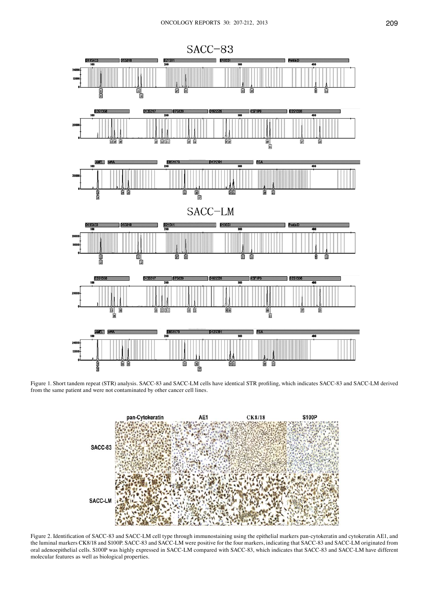

Figure 1. Short tandem repeat (STR) analysis. SACC-83 and SACC-LM cells have identical STR profiling, which indicates SACC-83 and SACC-LM derived from the same patient and were not contaminated by other cancer cell lines.



Figure 2. Identification of SACC-83 and SACC-LM cell type through immunostaining using the epithelial markers pan-cytokeratin and cytokeratin AE1, and the luminal markers CK8/18 and S100P. SACC-83 and SACC-LM were positive for the four markers, indicating that SACC-83 and SACC-LM originated from oral adenoepithelial cells. S100P was highly expressed in SACC-LM compared with SACC-83, which indicates that SACC-83 and SACC-LM have different molecular features as well as biological properties.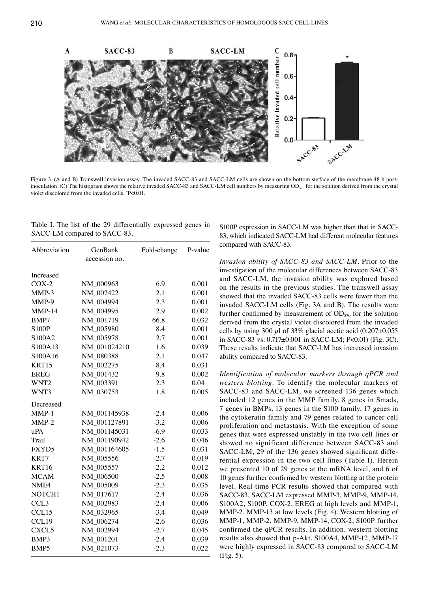Figure 3. (A and B) Transwell invasion assay. The invaded SACC-83 and SACC-LM cells are shown on the bottom surface of the membrane 48 h postinoculation. (C) The histogram shows the relative invaded SACC-83 and SACC-LM cell numbers by measuring  $OD_{570}$  for the solution derived from the crystal violet discolored from the invaded cells. \* P<0.01.

|  |  |  | Table I. The list of the 29 differentially expressed genes in |  |  |
|--|--|--|---------------------------------------------------------------|--|--|
|  |  |  | SACC-LM compared to SACC-83.                                  |  |  |

| accession no.<br>Increased<br>6.9<br>$COX-2$<br>NM_000963<br>0.001<br>0.001<br>MMP-3<br>NM 002422<br>2.1<br>NM 004994<br>2.3<br>0.001<br>MMP-9<br>$MMP-14$<br>NM 004995<br>2.9<br>0.002<br>NM 001719<br>66.8<br>0.032<br>BMP7<br>NM_005980<br>8.4<br>0.001<br><b>S100P</b><br>2.7<br>0.001<br>S100A2<br>NM_005978<br>S100A13<br>0.039<br>NM 001024210<br>1.6<br>0.047<br>S100A16<br>NM 080388<br>2.1<br>8.4<br>0.031<br>KRT15<br>NM_002275<br>NM 001432<br>0.002<br><b>EREG</b><br>9.8<br>2.3<br>0.04<br>WNT <sub>2</sub><br>NM 003391<br>WNT3<br>NM_030753<br>1.8<br>0.005<br>Decreased<br>NM_001145938<br>$MMP-1$<br>0.006<br>$-2.4$<br>NM 001127891<br>0.006<br>$MMP-2$<br>$-3.2$<br>NM 001145031<br>$-6.9$<br>0.033<br>uPA<br>NM 001190942<br>0.046<br>Trail<br>$-2.6$<br>FXYD5<br>NM 001164605<br>$-1.5$<br>0.031<br>0.019<br>KRT7<br>NM 005556<br>$-2.7$<br>KRT16<br>NM_005557<br>$-2.2$<br>0.012<br><b>MCAM</b><br>NM_006500<br>$-2.5$<br>0.008<br>NME4<br>NM_005009<br>0.035<br>$-2.3$<br>NOTCH1<br>NM_017617<br>$-2.4$<br>0.036<br>0.006<br>CCL <sub>3</sub><br>NM 002983<br>$-2.4$<br>CCL15<br>NM_032965<br>$-3.4$<br>0.049<br>CCL19<br>$-2.6$<br>0.036<br>NM_006274<br>CXCL5<br>NM_002994<br>$-2.7$<br>0.045<br>BMP3<br>NM 001201<br>$-2.4$<br>0.039<br>BMP <sub>5</sub><br>0.022<br>NM 021073<br>$-2.3$ | Abbreviation | GenBank | Fold-change | P-value |  |
|---------------------------------------------------------------------------------------------------------------------------------------------------------------------------------------------------------------------------------------------------------------------------------------------------------------------------------------------------------------------------------------------------------------------------------------------------------------------------------------------------------------------------------------------------------------------------------------------------------------------------------------------------------------------------------------------------------------------------------------------------------------------------------------------------------------------------------------------------------------------------------------------------------------------------------------------------------------------------------------------------------------------------------------------------------------------------------------------------------------------------------------------------------------------------------------------------------------------------------------------------------------------------------------------------------------------|--------------|---------|-------------|---------|--|
|                                                                                                                                                                                                                                                                                                                                                                                                                                                                                                                                                                                                                                                                                                                                                                                                                                                                                                                                                                                                                                                                                                                                                                                                                                                                                                                     |              |         |             |         |  |
|                                                                                                                                                                                                                                                                                                                                                                                                                                                                                                                                                                                                                                                                                                                                                                                                                                                                                                                                                                                                                                                                                                                                                                                                                                                                                                                     |              |         |             |         |  |
|                                                                                                                                                                                                                                                                                                                                                                                                                                                                                                                                                                                                                                                                                                                                                                                                                                                                                                                                                                                                                                                                                                                                                                                                                                                                                                                     |              |         |             |         |  |
|                                                                                                                                                                                                                                                                                                                                                                                                                                                                                                                                                                                                                                                                                                                                                                                                                                                                                                                                                                                                                                                                                                                                                                                                                                                                                                                     |              |         |             |         |  |
|                                                                                                                                                                                                                                                                                                                                                                                                                                                                                                                                                                                                                                                                                                                                                                                                                                                                                                                                                                                                                                                                                                                                                                                                                                                                                                                     |              |         |             |         |  |
|                                                                                                                                                                                                                                                                                                                                                                                                                                                                                                                                                                                                                                                                                                                                                                                                                                                                                                                                                                                                                                                                                                                                                                                                                                                                                                                     |              |         |             |         |  |
|                                                                                                                                                                                                                                                                                                                                                                                                                                                                                                                                                                                                                                                                                                                                                                                                                                                                                                                                                                                                                                                                                                                                                                                                                                                                                                                     |              |         |             |         |  |
|                                                                                                                                                                                                                                                                                                                                                                                                                                                                                                                                                                                                                                                                                                                                                                                                                                                                                                                                                                                                                                                                                                                                                                                                                                                                                                                     |              |         |             |         |  |
|                                                                                                                                                                                                                                                                                                                                                                                                                                                                                                                                                                                                                                                                                                                                                                                                                                                                                                                                                                                                                                                                                                                                                                                                                                                                                                                     |              |         |             |         |  |
|                                                                                                                                                                                                                                                                                                                                                                                                                                                                                                                                                                                                                                                                                                                                                                                                                                                                                                                                                                                                                                                                                                                                                                                                                                                                                                                     |              |         |             |         |  |
|                                                                                                                                                                                                                                                                                                                                                                                                                                                                                                                                                                                                                                                                                                                                                                                                                                                                                                                                                                                                                                                                                                                                                                                                                                                                                                                     |              |         |             |         |  |
|                                                                                                                                                                                                                                                                                                                                                                                                                                                                                                                                                                                                                                                                                                                                                                                                                                                                                                                                                                                                                                                                                                                                                                                                                                                                                                                     |              |         |             |         |  |
|                                                                                                                                                                                                                                                                                                                                                                                                                                                                                                                                                                                                                                                                                                                                                                                                                                                                                                                                                                                                                                                                                                                                                                                                                                                                                                                     |              |         |             |         |  |
|                                                                                                                                                                                                                                                                                                                                                                                                                                                                                                                                                                                                                                                                                                                                                                                                                                                                                                                                                                                                                                                                                                                                                                                                                                                                                                                     |              |         |             |         |  |
|                                                                                                                                                                                                                                                                                                                                                                                                                                                                                                                                                                                                                                                                                                                                                                                                                                                                                                                                                                                                                                                                                                                                                                                                                                                                                                                     |              |         |             |         |  |
|                                                                                                                                                                                                                                                                                                                                                                                                                                                                                                                                                                                                                                                                                                                                                                                                                                                                                                                                                                                                                                                                                                                                                                                                                                                                                                                     |              |         |             |         |  |
|                                                                                                                                                                                                                                                                                                                                                                                                                                                                                                                                                                                                                                                                                                                                                                                                                                                                                                                                                                                                                                                                                                                                                                                                                                                                                                                     |              |         |             |         |  |
|                                                                                                                                                                                                                                                                                                                                                                                                                                                                                                                                                                                                                                                                                                                                                                                                                                                                                                                                                                                                                                                                                                                                                                                                                                                                                                                     |              |         |             |         |  |
|                                                                                                                                                                                                                                                                                                                                                                                                                                                                                                                                                                                                                                                                                                                                                                                                                                                                                                                                                                                                                                                                                                                                                                                                                                                                                                                     |              |         |             |         |  |
|                                                                                                                                                                                                                                                                                                                                                                                                                                                                                                                                                                                                                                                                                                                                                                                                                                                                                                                                                                                                                                                                                                                                                                                                                                                                                                                     |              |         |             |         |  |
|                                                                                                                                                                                                                                                                                                                                                                                                                                                                                                                                                                                                                                                                                                                                                                                                                                                                                                                                                                                                                                                                                                                                                                                                                                                                                                                     |              |         |             |         |  |
|                                                                                                                                                                                                                                                                                                                                                                                                                                                                                                                                                                                                                                                                                                                                                                                                                                                                                                                                                                                                                                                                                                                                                                                                                                                                                                                     |              |         |             |         |  |
|                                                                                                                                                                                                                                                                                                                                                                                                                                                                                                                                                                                                                                                                                                                                                                                                                                                                                                                                                                                                                                                                                                                                                                                                                                                                                                                     |              |         |             |         |  |
|                                                                                                                                                                                                                                                                                                                                                                                                                                                                                                                                                                                                                                                                                                                                                                                                                                                                                                                                                                                                                                                                                                                                                                                                                                                                                                                     |              |         |             |         |  |
|                                                                                                                                                                                                                                                                                                                                                                                                                                                                                                                                                                                                                                                                                                                                                                                                                                                                                                                                                                                                                                                                                                                                                                                                                                                                                                                     |              |         |             |         |  |
|                                                                                                                                                                                                                                                                                                                                                                                                                                                                                                                                                                                                                                                                                                                                                                                                                                                                                                                                                                                                                                                                                                                                                                                                                                                                                                                     |              |         |             |         |  |
|                                                                                                                                                                                                                                                                                                                                                                                                                                                                                                                                                                                                                                                                                                                                                                                                                                                                                                                                                                                                                                                                                                                                                                                                                                                                                                                     |              |         |             |         |  |
|                                                                                                                                                                                                                                                                                                                                                                                                                                                                                                                                                                                                                                                                                                                                                                                                                                                                                                                                                                                                                                                                                                                                                                                                                                                                                                                     |              |         |             |         |  |
|                                                                                                                                                                                                                                                                                                                                                                                                                                                                                                                                                                                                                                                                                                                                                                                                                                                                                                                                                                                                                                                                                                                                                                                                                                                                                                                     |              |         |             |         |  |
|                                                                                                                                                                                                                                                                                                                                                                                                                                                                                                                                                                                                                                                                                                                                                                                                                                                                                                                                                                                                                                                                                                                                                                                                                                                                                                                     |              |         |             |         |  |
|                                                                                                                                                                                                                                                                                                                                                                                                                                                                                                                                                                                                                                                                                                                                                                                                                                                                                                                                                                                                                                                                                                                                                                                                                                                                                                                     |              |         |             |         |  |
|                                                                                                                                                                                                                                                                                                                                                                                                                                                                                                                                                                                                                                                                                                                                                                                                                                                                                                                                                                                                                                                                                                                                                                                                                                                                                                                     |              |         |             |         |  |

S100P expression in SACC-LM was higher than that in SACC-83, which indicated SACC-LM had different molecular features compared with SACC-83.

*Invasion ability of SACC-83 and SACC-LM.* Prior to the investigation of the molecular differences between SACC-83 and SACC-LM, the invasion ability was explored based on the results in the previous studies. The transwell assay showed that the invaded SACC-83 cells were fewer than the invaded SACC-LM cells (Fig. 3A and B). The results were further confirmed by measurement of  $OD_{570}$  for the solution derived from the crystal violet discolored from the invaded cells by using 300  $\mu$ l of 33% glacial acetic acid (0.207±0.055 in SACC-83 vs. 0.717±0.001 in SACC-LM; P<0.01) (Fig. 3C). These results indicate that SACC-LM has increased invasion ability compared to SACC-83.

*Identification of molecular markers through qPCR and western blotting.* To identify the molecular markers of SACC-83 and SACC-LM, we screened 136 genes which included 12 genes in the MMP family, 8 genes in Smads, 7 genes in BMPs, 13 genes in the S100 family, 17 genes in the cytokeratin family and 79 genes related to cancer cell proliferation and metastasis. With the exception of some genes that were expressed unstably in the two cell lines or showed no significant difference between SACC-83 and SACC-LM, 29 of the 136 genes showed significant differential expression in the two cell lines (Table I). Herein we presented 10 of 29 genes at the mRNA level, and 6 of 10 genes further confirmed by western blotting at the protein level. Real-time PCR results showed that compared with SACC-83, SACC-LM expressed MMP-3, MMP-9, MMP-14, S100A2, S100P, COX-2, EREG at high levels and MMP-1, MMP-2, MMP-13 at low levels (Fig. 4). Western blotting of MMP-1, MMP-2, MMP-9, MMP-14, COX-2, S100P further confirmed the qPCR results. In addition, western blotting results also showed that p-Akt, S100A4, MMP-12, MMP-17 were highly expressed in SACC-83 compared to SACC-LM (Fig. 5).

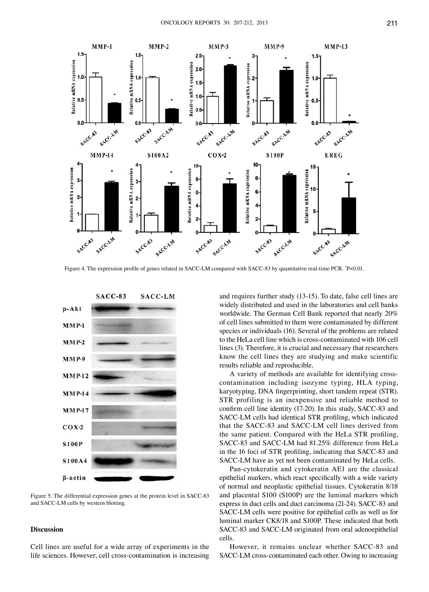

Figure 4. The expression profile of genes related in SACC-LM compared with SACC-83 by quantitative real-time PCR. \* P<0.01.



Figure 5. The differential expression genes at the protein level in SACC-83 and SACC-LM cells by western blotting.

#### **Discussion**

Cell lines are useful for a wide array of experiments in the life sciences. However, cell cross-contamination is increasing and requires further study (13-15). To date, false cell lines are widely distributed and used in the laboratories and cell banks worldwide. The German Cell Bank reported that nearly 20% of cell lines submitted to them were contaminated by different species or individuals (16). Several of the problems are related to the HeLa cell line which is cross-contaminated with 106 cell lines (3). Therefore, it is crucial and necessary that researchers know the cell lines they are studying and make scientific results reliable and reproducible.

A variety of methods are available for identifying crosscontamination including isozyme typing, HLA typing, karyotyping, DNA fingerprinting, short tandem repeat (STR). STR profiling is an inexpensive and reliable method to confirm cell line identity (17-20). In this study, SACC-83 and SACC-LM cells had identical STR profiling, which indicated that the SACC-83 and SACC-LM cell lines derived from the same patient. Compared with the HeLa STR profiling, SACC-83 and SACC-LM had 81.25% difference from HeLa in the 16 foci of STR profiling, indicating that SACC-83 and SACC-LM have as yet not been contaminated by HeLa cells.

Pan-cytokeratin and cytokeratin AE1 are the classical epithelial markers, which react specifically with a wide variety of normal and neoplastic epithelial tissues. Cytokeratin 8/18 and placental S100 (S100P) are the luminal markers which express in duct cells and duct carcinoma (21-24). SACC-83 and SACC-LM cells were positive for epithelial cells as well as for luminal marker CK8/18 and S100P. These indicated that both SACC-83 and SACC-LM originated from oral adenoepithelial cells.

However, it remains unclear whether SACC-83 and SACC-LM cross-contaminated each other. Owing to increasing